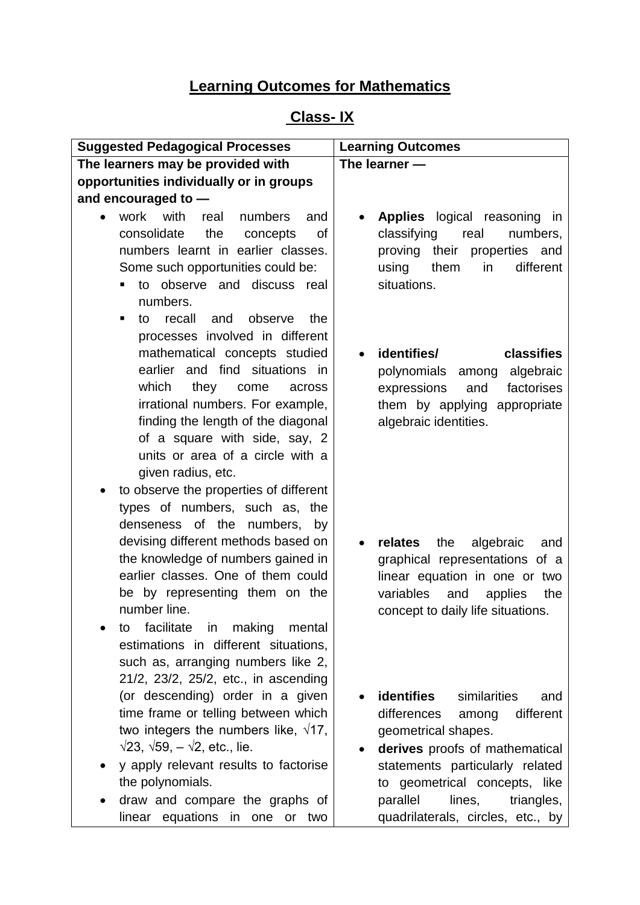# **Learning Outcomes for Mathematics**

# **Class- IX**

| <b>Suggested Pedagogical Processes</b>                                                                                                                                                                                                                                                                                                                                                                                                    | <b>Learning Outcomes</b>                                                                                                                                                                                                                                                            |
|-------------------------------------------------------------------------------------------------------------------------------------------------------------------------------------------------------------------------------------------------------------------------------------------------------------------------------------------------------------------------------------------------------------------------------------------|-------------------------------------------------------------------------------------------------------------------------------------------------------------------------------------------------------------------------------------------------------------------------------------|
| The learners may be provided with                                                                                                                                                                                                                                                                                                                                                                                                         | The learner $-$                                                                                                                                                                                                                                                                     |
| opportunities individually or in groups                                                                                                                                                                                                                                                                                                                                                                                                   |                                                                                                                                                                                                                                                                                     |
| and encouraged to -                                                                                                                                                                                                                                                                                                                                                                                                                       |                                                                                                                                                                                                                                                                                     |
| work with<br>real<br>numbers<br>and<br>consolidate<br>the<br>concepts<br>Οf<br>numbers learnt in earlier classes.<br>Some such opportunities could be:<br>to observe and discuss real<br>numbers.<br>recall<br>and<br>observe<br>the<br>to<br>п                                                                                                                                                                                           | <b>Applies</b> logical reasoning<br>in<br>classifying<br>numbers,<br>real<br>proving<br>their<br>properties and<br>using<br>different<br>them<br>in<br>situations.                                                                                                                  |
| processes involved in different<br>mathematical concepts studied<br>earlier and find situations in<br>which<br>they<br>come<br>across<br>irrational numbers. For example,<br>finding the length of the diagonal<br>of a square with side, say, 2<br>units or area of a circle with a<br>given radius, etc.<br>to observe the properties of different<br>$\bullet$                                                                         | identifies/<br>classifies<br>polynomials among<br>algebraic<br>expressions<br>factorises<br>and<br>them by applying appropriate<br>algebraic identities.                                                                                                                            |
| types of numbers, such as, the<br>denseness of the numbers, by<br>devising different methods based on<br>the knowledge of numbers gained in<br>earlier classes. One of them could<br>be by representing them on the<br>number line.<br>facilitate<br>making<br>in<br>mental<br>to                                                                                                                                                         | relates<br>the<br>algebraic<br>and<br>$\bullet$<br>graphical representations of a<br>linear equation in one or two<br>variables<br>and<br>applies<br>the<br>concept to daily life situations.                                                                                       |
| estimations in different situations,<br>such as, arranging numbers like 2,<br>21/2, 23/2, 25/2, etc., in ascending<br>(or descending) order in a given<br>time frame or telling between which<br>two integers the numbers like, $\sqrt{17}$ ,<br>$\sqrt{23}$ , $\sqrt{59}$ , $-\sqrt{2}$ , etc., lie.<br>y apply relevant results to factorise<br>the polynomials.<br>draw and compare the graphs of<br>linear equations in one<br>or two | <b>identifies</b><br>similarities<br>and<br>differences<br>different<br>among<br>geometrical shapes.<br>derives proofs of mathematical<br>statements particularly related<br>to geometrical concepts, like<br>lines,<br>parallel<br>triangles,<br>quadrilaterals, circles, etc., by |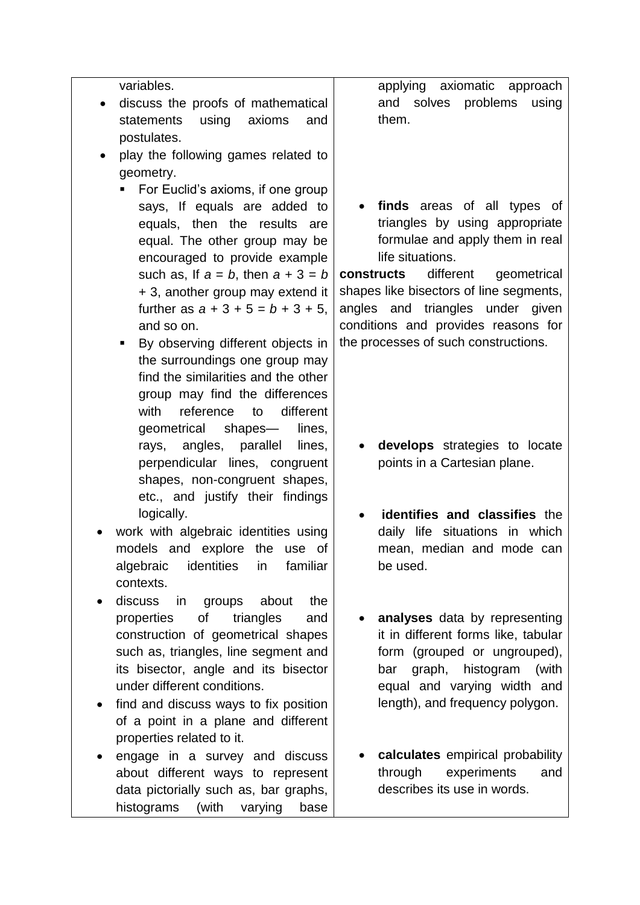variables.

- discuss the proofs of mathematical statements using axioms and postulates.
- play the following games related to geometry.
	- For Euclid's axioms, if one group says, If equals are added to equals, then the results are equal. The other group may be encouraged to provide example such as, If  $a = b$ , then  $a + 3 = b$ + 3, another group may extend it further as  $a + 3 + 5 = b + 3 + 5$ , and so on.
	- By observing different objects in the surroundings one group may find the similarities and the other group may find the differences with reference to different geometrical shapes— lines, rays, angles, parallel lines, perpendicular lines, congruent shapes, non-congruent shapes, etc., and justify their findings logically.
- work with algebraic identities using models and explore the use of algebraic identities in familiar contexts.
- discuss in groups about the properties of triangles and construction of geometrical shapes such as, triangles, line segment and its bisector, angle and its bisector under different conditions.
- find and discuss ways to fix position of a point in a plane and different properties related to it.
- engage in a survey and discuss about different ways to represent data pictorially such as, bar graphs, histograms (with varying base

applying axiomatic approach and solves problems using them.

 **finds** areas of all types of triangles by using appropriate formulae and apply them in real life situations.

**constructs** different geometrical shapes like bisectors of line segments, angles and triangles under given conditions and provides reasons for the processes of such constructions.

- **develops** strategies to locate points in a Cartesian plane.
- **identifies and classifies** the daily life situations in which mean, median and mode can be used.
- **analyses** data by representing it in different forms like, tabular form (grouped or ungrouped), bar graph, histogram (with equal and varying width and length), and frequency polygon.
- **calculates** empirical probability through experiments and describes its use in words.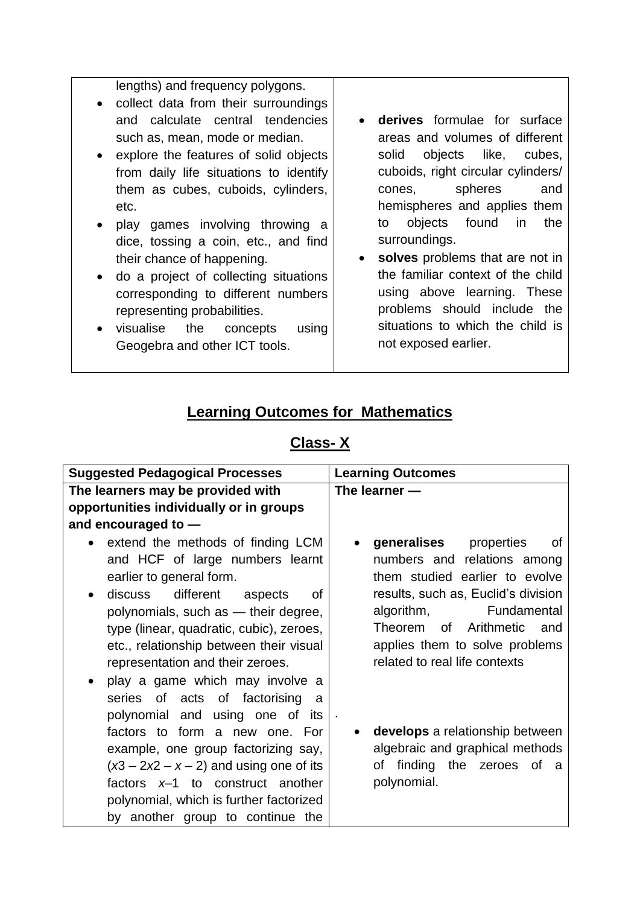lengths) and frequency polygons.

- collect data from their surroundings and calculate central tendencies such as, mean, mode or median.
- explore the features of solid objects from daily life situations to identify them as cubes, cuboids, cylinders, etc.
- play games involving throwing a dice, tossing a coin, etc., and find their chance of happening.
- do a project of collecting situations corresponding to different numbers representing probabilities.
- visualise the concepts using Geogebra and other ICT tools.
- **derives** formulae for surface areas and volumes of different solid objects like, cubes, cuboids, right circular cylinders/ cones, spheres and hemispheres and applies them to objects found in the surroundings.
- **solves** problems that are not in the familiar context of the child using above learning. These problems should include the situations to which the child is not exposed earlier.

### **Learning Outcomes for Mathematics**

### **Class- X**

| <b>Suggested Pedagogical Processes</b>                                                                                                                                                                                                                                                                                                                                                                                      | <b>Learning Outcomes</b>                                                                                                                                                                                                                                                        |
|-----------------------------------------------------------------------------------------------------------------------------------------------------------------------------------------------------------------------------------------------------------------------------------------------------------------------------------------------------------------------------------------------------------------------------|---------------------------------------------------------------------------------------------------------------------------------------------------------------------------------------------------------------------------------------------------------------------------------|
| The learners may be provided with                                                                                                                                                                                                                                                                                                                                                                                           | The learner $-$                                                                                                                                                                                                                                                                 |
| opportunities individually or in groups                                                                                                                                                                                                                                                                                                                                                                                     |                                                                                                                                                                                                                                                                                 |
| and encouraged to $-$                                                                                                                                                                                                                                                                                                                                                                                                       |                                                                                                                                                                                                                                                                                 |
| extend the methods of finding LCM<br>and HCF of large numbers learnt<br>earlier to general form.<br>different<br>discuss<br>aspects<br>of<br>polynomials, such as - their degree,<br>type (linear, quadratic, cubic), zeroes,<br>etc., relationship between their visual<br>representation and their zeroes.<br>play a game which may involve a<br>of acts of factorising<br>series<br>a<br>polynomial and using one of its | generalises<br>properties<br>οf<br>numbers and relations among<br>them studied earlier to evolve<br>results, such as, Euclid's division<br>Fundamental<br>algorithm,<br>of l<br>Arithmetic<br>Theorem<br>and<br>applies them to solve problems<br>related to real life contexts |
| factors to form a new one. For<br>example, one group factorizing say,<br>$(x3 - 2x2 - x - 2)$ and using one of its<br>factors $x-1$ to construct another<br>polynomial, which is further factorized<br>by another group to continue the                                                                                                                                                                                     | develops a relationship between<br>algebraic and graphical methods<br>finding<br>the zeroes of a<br>οf<br>polynomial.                                                                                                                                                           |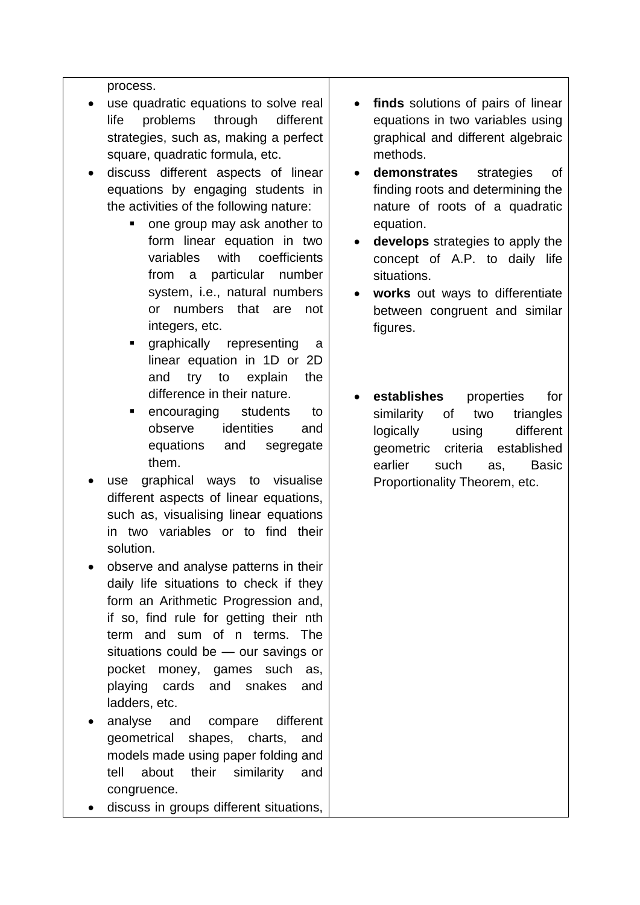process.

- use quadratic equations to solve real life problems through different strategies, such as, making a perfect square, quadratic formula, etc.
- discuss different aspects of linear equations by engaging students in the activities of the following nature:
	- one group may ask another to form linear equation in two variables with coefficients from a particular number system, i.e., natural numbers or numbers that are not integers, etc.
	- graphically representing a linear equation in 1D or 2D and try to explain the difference in their nature.
	- encouraging students to observe identities and equations and segregate them.
- use graphical ways to visualise different aspects of linear equations, such as, visualising linear equations in two variables or to find their solution.
- observe and analyse patterns in their daily life situations to check if they form an Arithmetic Progression and, if so, find rule for getting their nth term and sum of n terms. The situations could be — our savings or pocket money, games such as, playing cards and snakes and ladders, etc.
- analyse and compare different geometrical shapes, charts, and models made using paper folding and tell about their similarity and congruence.
- discuss in groups different situations,
- **finds** solutions of pairs of linear equations in two variables using graphical and different algebraic methods.
- **demonstrates** strategies of finding roots and determining the nature of roots of a quadratic equation.
- **develops** strategies to apply the concept of A.P. to daily life situations.
- **works** out ways to differentiate between congruent and similar figures.
- **establishes** properties for similarity of two triangles logically using different geometric criteria established earlier such as, Basic Proportionality Theorem, etc.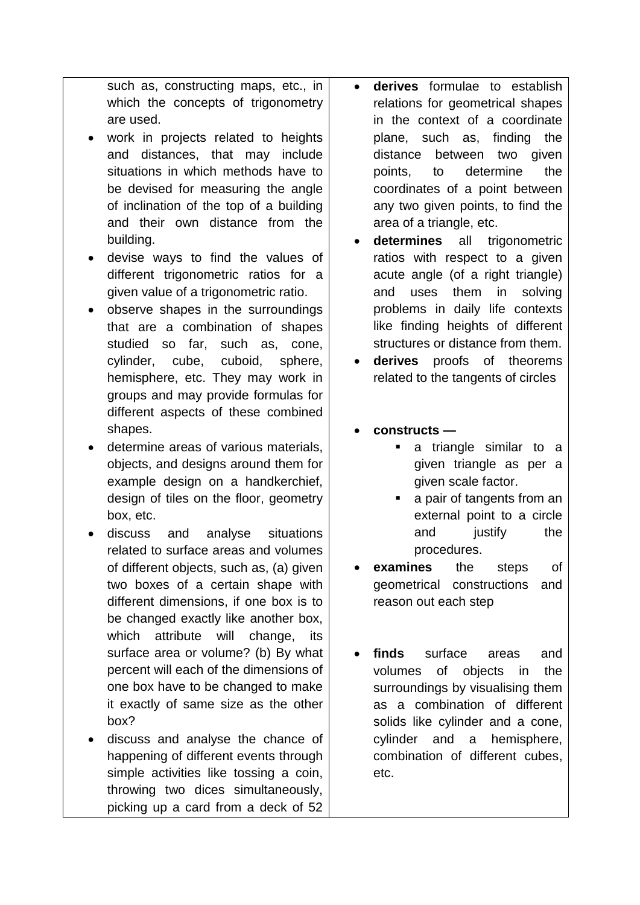such as, constructing maps, etc., in which the concepts of trigonometry are used.

- work in projects related to heights and distances, that may include situations in which methods have to be devised for measuring the angle of inclination of the top of a building and their own distance from the building.
- devise ways to find the values of different trigonometric ratios for a given value of a trigonometric ratio.
- observe shapes in the surroundings that are a combination of shapes studied so far, such as, cone, cylinder, cube, cuboid, sphere, hemisphere, etc. They may work in groups and may provide formulas for different aspects of these combined shapes.
- determine areas of various materials, objects, and designs around them for example design on a handkerchief, design of tiles on the floor, geometry box, etc.
- discuss and analyse situations related to surface areas and volumes of different objects, such as, (a) given two boxes of a certain shape with different dimensions, if one box is to be changed exactly like another box, which attribute will change, its surface area or volume? (b) By what percent will each of the dimensions of one box have to be changed to make it exactly of same size as the other box?
- discuss and analyse the chance of happening of different events through simple activities like tossing a coin, throwing two dices simultaneously, picking up a card from a deck of 52
- **derives** formulae to establish relations for geometrical shapes in the context of a coordinate plane, such as, finding the distance between two given points, to determine the coordinates of a point between any two given points, to find the area of a triangle, etc.
- **determines** all trigonometric ratios with respect to a given acute angle (of a right triangle) and uses them in solving problems in daily life contexts like finding heights of different structures or distance from them.
- **derives** proofs of theorems related to the tangents of circles
- **constructs** 
	- a triangle similar to a given triangle as per a given scale factor.
	- **a** a pair of tangents from an external point to a circle and justify the procedures.
- **examines** the steps of geometrical constructions and reason out each step
- **finds** surface areas and volumes of objects in the surroundings by visualising them as a combination of different solids like cylinder and a cone, cylinder and a hemisphere, combination of different cubes, etc.